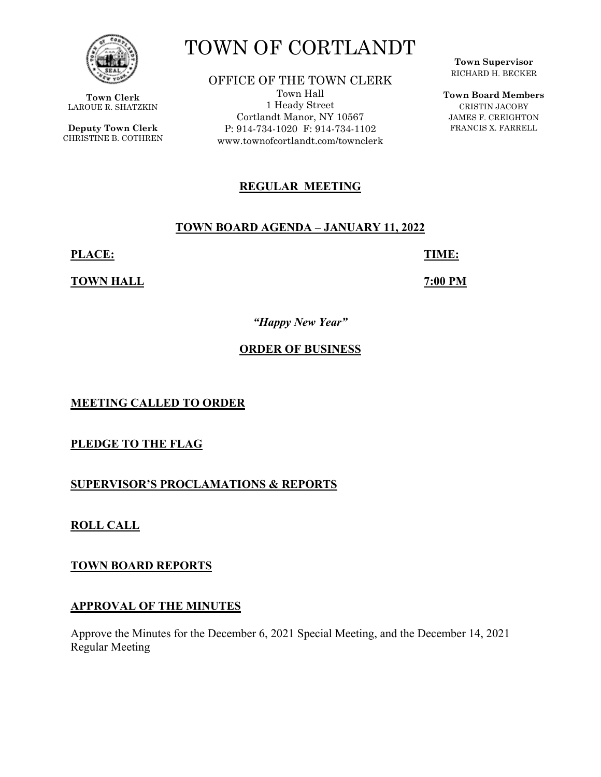

**Town Clerk**  LAROUE R. SHATZKIN

**Deputy Town Clerk**  CHRISTINE B. COTHREN

# TOWN OF CORTLANDT

OFFICE OF THE TOWN CLERK Town Hall 1 Heady Street Cortlandt Manor, NY 10567 P: 914-734-1020 F: 914-734-1102 www.townofcortlandt.com/townclerk

# **REGULAR MEETING**

#### **TOWN BOARD AGENDA – JANUARY 11, 2022**

**PLACE: TIME:** 

**TOWN HALL 7:00 PM** 

*"Happy New Year"* 

## **ORDER OF BUSINESS**

**MEETING CALLED TO ORDER** 

**PLEDGE TO THE FLAG** 

**SUPERVISOR'S PROCLAMATIONS & REPORTS** 

**ROLL CALL** 

**TOWN BOARD REPORTS** 

## **APPROVAL OF THE MINUTES**

Approve the Minutes for the December 6, 2021 Special Meeting, and the December 14, 2021 Regular Meeting

**Town Supervisor** RICHARD H. BECKER

**Town Board Members** CRISTIN JACOBY JAMES F. CREIGHTON FRANCIS X. FARRELL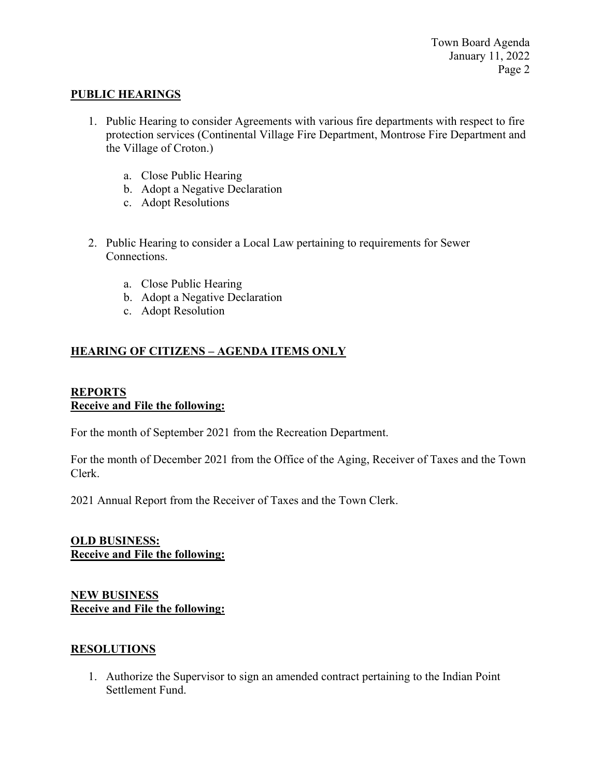#### **PUBLIC HEARINGS**

- 1. Public Hearing to consider Agreements with various fire departments with respect to fire protection services (Continental Village Fire Department, Montrose Fire Department and the Village of Croton.)
	- a. Close Public Hearing
	- b. Adopt a Negative Declaration
	- c. Adopt Resolutions
- 2. Public Hearing to consider a Local Law pertaining to requirements for Sewer Connections.
	- a. Close Public Hearing
	- b. Adopt a Negative Declaration
	- c. Adopt Resolution

# **HEARING OF CITIZENS – AGENDA ITEMS ONLY**

#### **REPORTS Receive and File the following:**

For the month of September 2021 from the Recreation Department.

For the month of December 2021 from the Office of the Aging, Receiver of Taxes and the Town Clerk.

2021 Annual Report from the Receiver of Taxes and the Town Clerk.

## **OLD BUSINESS: Receive and File the following:**

#### **NEW BUSINESS Receive and File the following:**

## **RESOLUTIONS**

1. Authorize the Supervisor to sign an amended contract pertaining to the Indian Point Settlement Fund.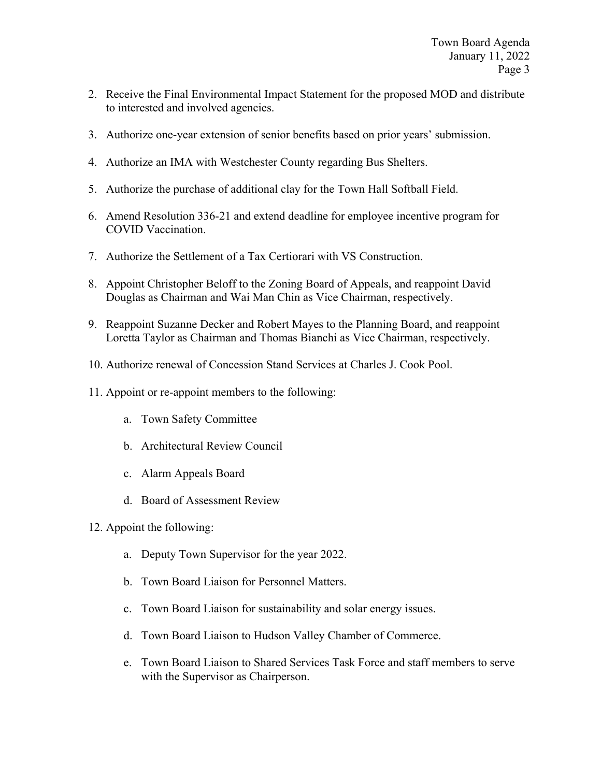- 2. Receive the Final Environmental Impact Statement for the proposed MOD and distribute to interested and involved agencies.
- 3. Authorize one-year extension of senior benefits based on prior years' submission.
- 4. Authorize an IMA with Westchester County regarding Bus Shelters.
- 5. Authorize the purchase of additional clay for the Town Hall Softball Field.
- 6. Amend Resolution 336-21 and extend deadline for employee incentive program for COVID Vaccination.
- 7. Authorize the Settlement of a Tax Certiorari with VS Construction.
- 8. Appoint Christopher Beloff to the Zoning Board of Appeals, and reappoint David Douglas as Chairman and Wai Man Chin as Vice Chairman, respectively.
- 9. Reappoint Suzanne Decker and Robert Mayes to the Planning Board, and reappoint Loretta Taylor as Chairman and Thomas Bianchi as Vice Chairman, respectively.
- 10. Authorize renewal of Concession Stand Services at Charles J. Cook Pool.
- 11. Appoint or re-appoint members to the following:
	- a. Town Safety Committee
	- b. Architectural Review Council
	- c. Alarm Appeals Board
	- d. Board of Assessment Review
- 12. Appoint the following:
	- a. Deputy Town Supervisor for the year 2022.
	- b. Town Board Liaison for Personnel Matters.
	- c. Town Board Liaison for sustainability and solar energy issues.
	- d. Town Board Liaison to Hudson Valley Chamber of Commerce.
	- e. Town Board Liaison to Shared Services Task Force and staff members to serve with the Supervisor as Chairperson.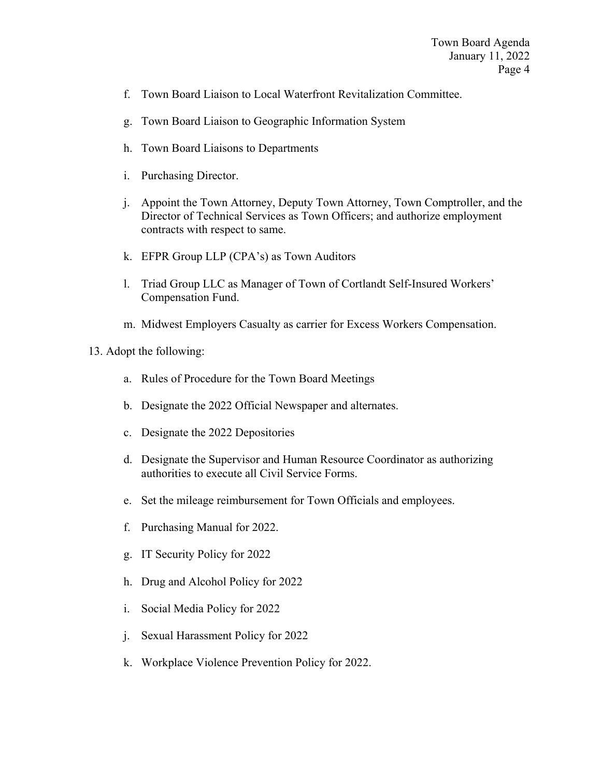- f. Town Board Liaison to Local Waterfront Revitalization Committee.
- g. Town Board Liaison to Geographic Information System
- h. Town Board Liaisons to Departments
- i. Purchasing Director.
- j. Appoint the Town Attorney, Deputy Town Attorney, Town Comptroller, and the Director of Technical Services as Town Officers; and authorize employment contracts with respect to same.
- k. EFPR Group LLP (CPA's) as Town Auditors
- l. Triad Group LLC as Manager of Town of Cortlandt Self-Insured Workers' Compensation Fund.
- m. Midwest Employers Casualty as carrier for Excess Workers Compensation.

#### 13. Adopt the following:

- a. Rules of Procedure for the Town Board Meetings
- b. Designate the 2022 Official Newspaper and alternates.
- c. Designate the 2022 Depositories
- d. Designate the Supervisor and Human Resource Coordinator as authorizing authorities to execute all Civil Service Forms.
- e. Set the mileage reimbursement for Town Officials and employees.
- f. Purchasing Manual for 2022.
- g. IT Security Policy for 2022
- h. Drug and Alcohol Policy for 2022
- i. Social Media Policy for 2022
- j. Sexual Harassment Policy for 2022
- k. Workplace Violence Prevention Policy for 2022.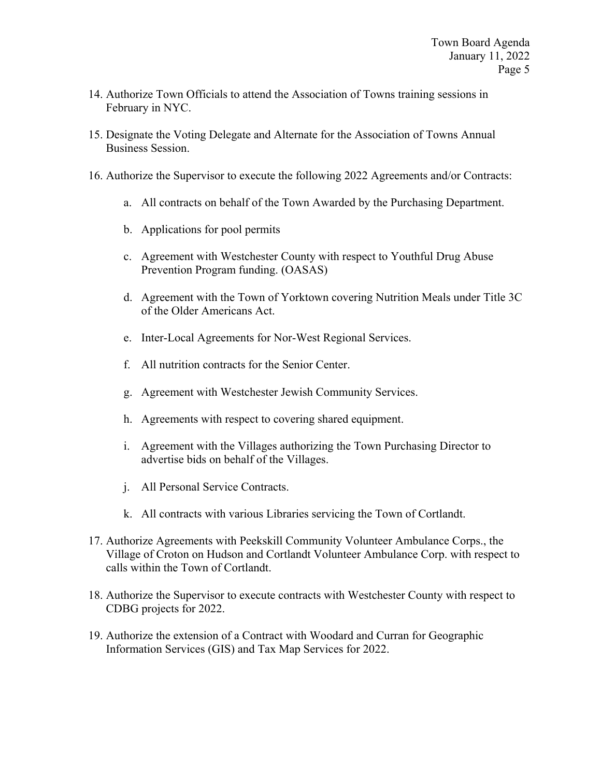- 14. Authorize Town Officials to attend the Association of Towns training sessions in February in NYC.
- 15. Designate the Voting Delegate and Alternate for the Association of Towns Annual Business Session.
- 16. Authorize the Supervisor to execute the following 2022 Agreements and/or Contracts:
	- a. All contracts on behalf of the Town Awarded by the Purchasing Department.
	- b. Applications for pool permits
	- c. Agreement with Westchester County with respect to Youthful Drug Abuse Prevention Program funding. (OASAS)
	- d. Agreement with the Town of Yorktown covering Nutrition Meals under Title 3C of the Older Americans Act.
	- e. Inter-Local Agreements for Nor-West Regional Services.
	- f. All nutrition contracts for the Senior Center.
	- g. Agreement with Westchester Jewish Community Services.
	- h. Agreements with respect to covering shared equipment.
	- i. Agreement with the Villages authorizing the Town Purchasing Director to advertise bids on behalf of the Villages.
	- j. All Personal Service Contracts.
	- k. All contracts with various Libraries servicing the Town of Cortlandt.
- 17. Authorize Agreements with Peekskill Community Volunteer Ambulance Corps., the Village of Croton on Hudson and Cortlandt Volunteer Ambulance Corp. with respect to calls within the Town of Cortlandt.
- 18. Authorize the Supervisor to execute contracts with Westchester County with respect to CDBG projects for 2022.
- 19. Authorize the extension of a Contract with Woodard and Curran for Geographic Information Services (GIS) and Tax Map Services for 2022.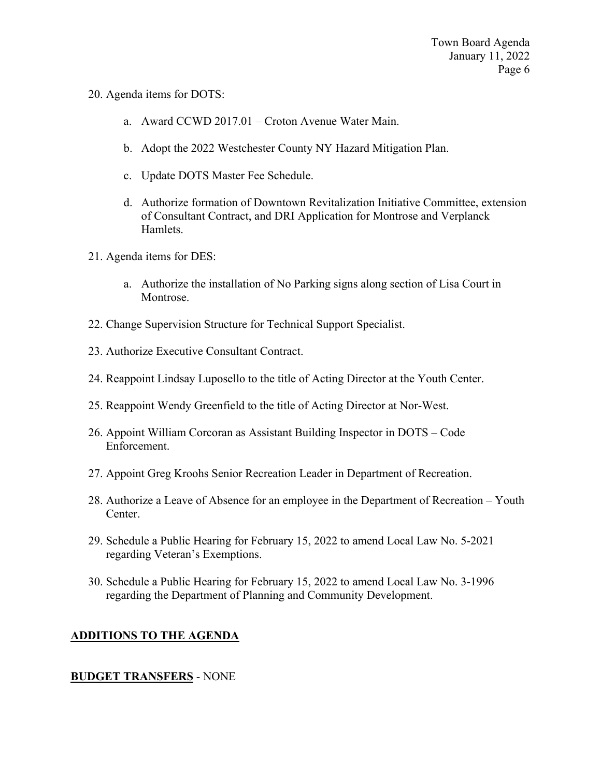- 20. Agenda items for DOTS:
	- a. Award CCWD 2017.01 Croton Avenue Water Main.
	- b. Adopt the 2022 Westchester County NY Hazard Mitigation Plan.
	- c. Update DOTS Master Fee Schedule.
	- d. Authorize formation of Downtown Revitalization Initiative Committee, extension of Consultant Contract, and DRI Application for Montrose and Verplanck Hamlets.
- 21. Agenda items for DES:
	- a. Authorize the installation of No Parking signs along section of Lisa Court in Montrose.
- 22. Change Supervision Structure for Technical Support Specialist.
- 23. Authorize Executive Consultant Contract.
- 24. Reappoint Lindsay Luposello to the title of Acting Director at the Youth Center.
- 25. Reappoint Wendy Greenfield to the title of Acting Director at Nor-West.
- 26. Appoint William Corcoran as Assistant Building Inspector in DOTS Code Enforcement.
- 27. Appoint Greg Kroohs Senior Recreation Leader in Department of Recreation.
- 28. Authorize a Leave of Absence for an employee in the Department of Recreation Youth Center.
- 29. Schedule a Public Hearing for February 15, 2022 to amend Local Law No. 5-2021 regarding Veteran's Exemptions.
- 30. Schedule a Public Hearing for February 15, 2022 to amend Local Law No. 3-1996 regarding the Department of Planning and Community Development.

# **ADDITIONS TO THE AGENDA**

## **BUDGET TRANSFERS** - NONE